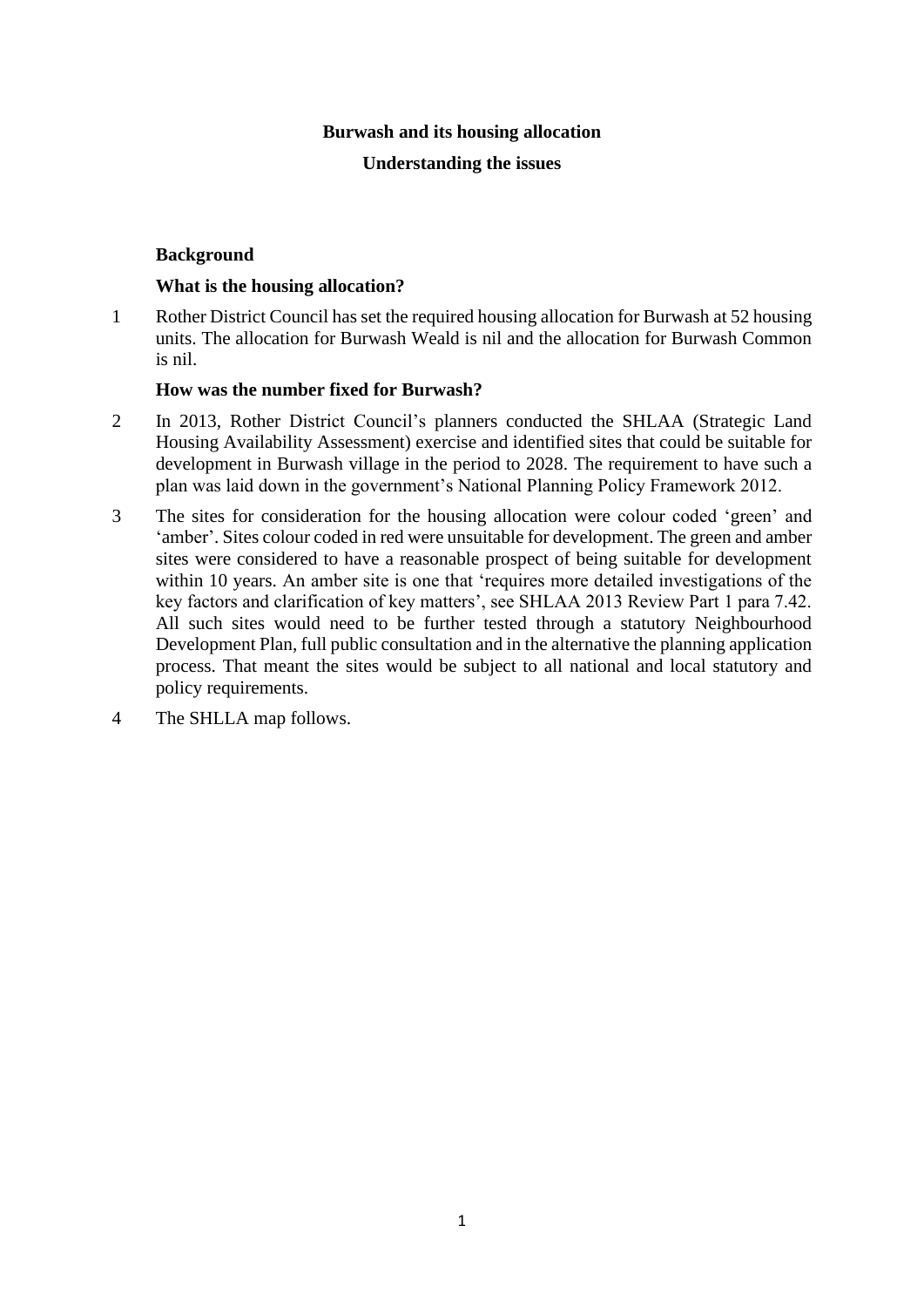#### **Burwash and its housing allocation**

#### **Understanding the issues**

#### **Background**

#### **What is the housing allocation?**

1 Rother District Council has set the required housing allocation for Burwash at 52 housing units. The allocation for Burwash Weald is nil and the allocation for Burwash Common is nil.

#### **How was the number fixed for Burwash?**

- 2 In 2013, Rother District Council's planners conducted the SHLAA (Strategic Land Housing Availability Assessment) exercise and identified sites that could be suitable for development in Burwash village in the period to 2028. The requirement to have such a plan was laid down in the government's National Planning Policy Framework 2012.
- 3 The sites for consideration for the housing allocation were colour coded 'green' and 'amber'. Sites colour coded in red were unsuitable for development. The green and amber sites were considered to have a reasonable prospect of being suitable for development within 10 years. An amber site is one that 'requires more detailed investigations of the key factors and clarification of key matters', see SHLAA 2013 Review Part 1 para 7.42. All such sites would need to be further tested through a statutory Neighbourhood Development Plan, full public consultation and in the alternative the planning application process. That meant the sites would be subject to all national and local statutory and policy requirements.
- 4 The SHLLA map follows.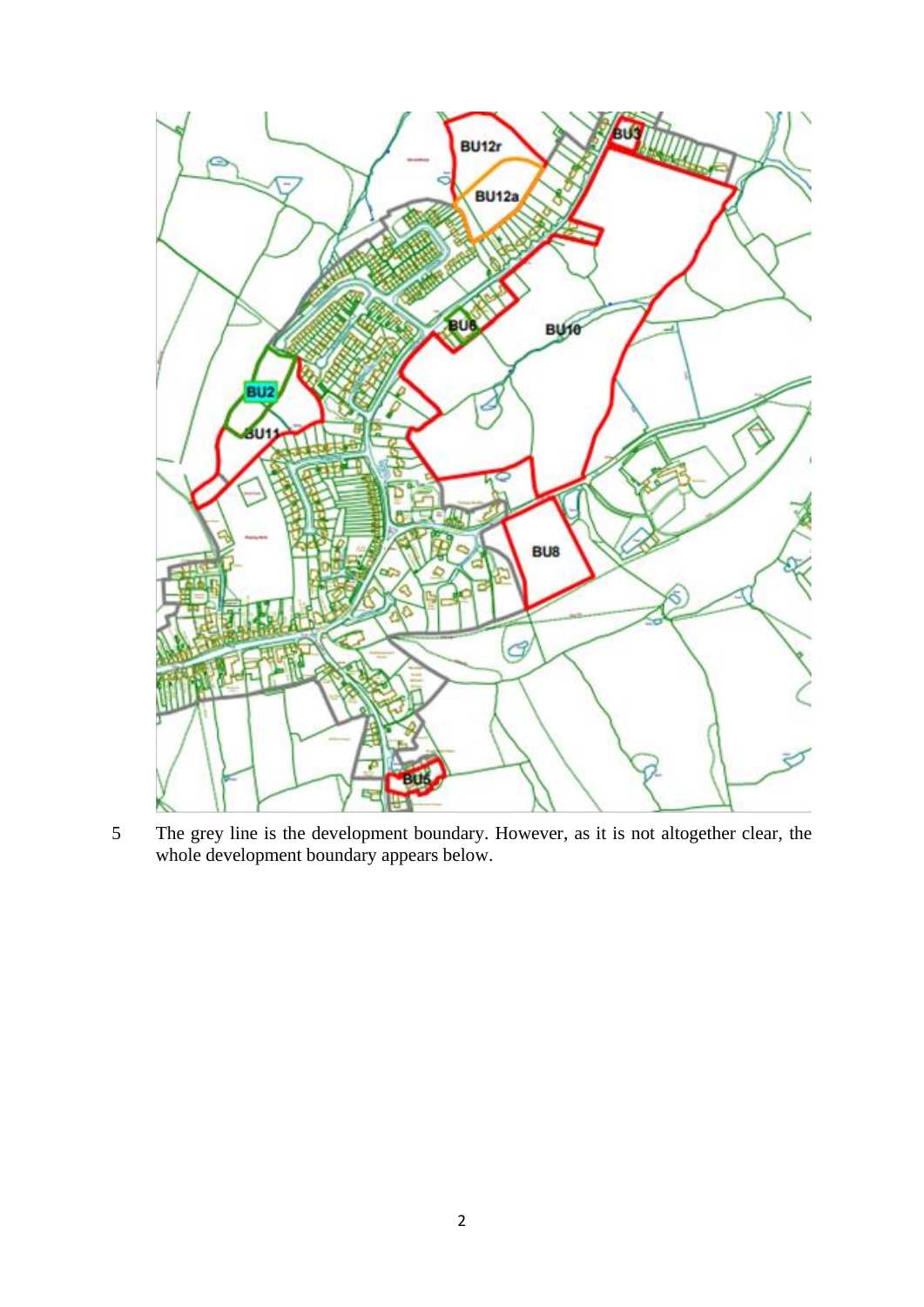

 The grey line is the development boundary. However, as it is not altogether clear, the whole development boundary appears below.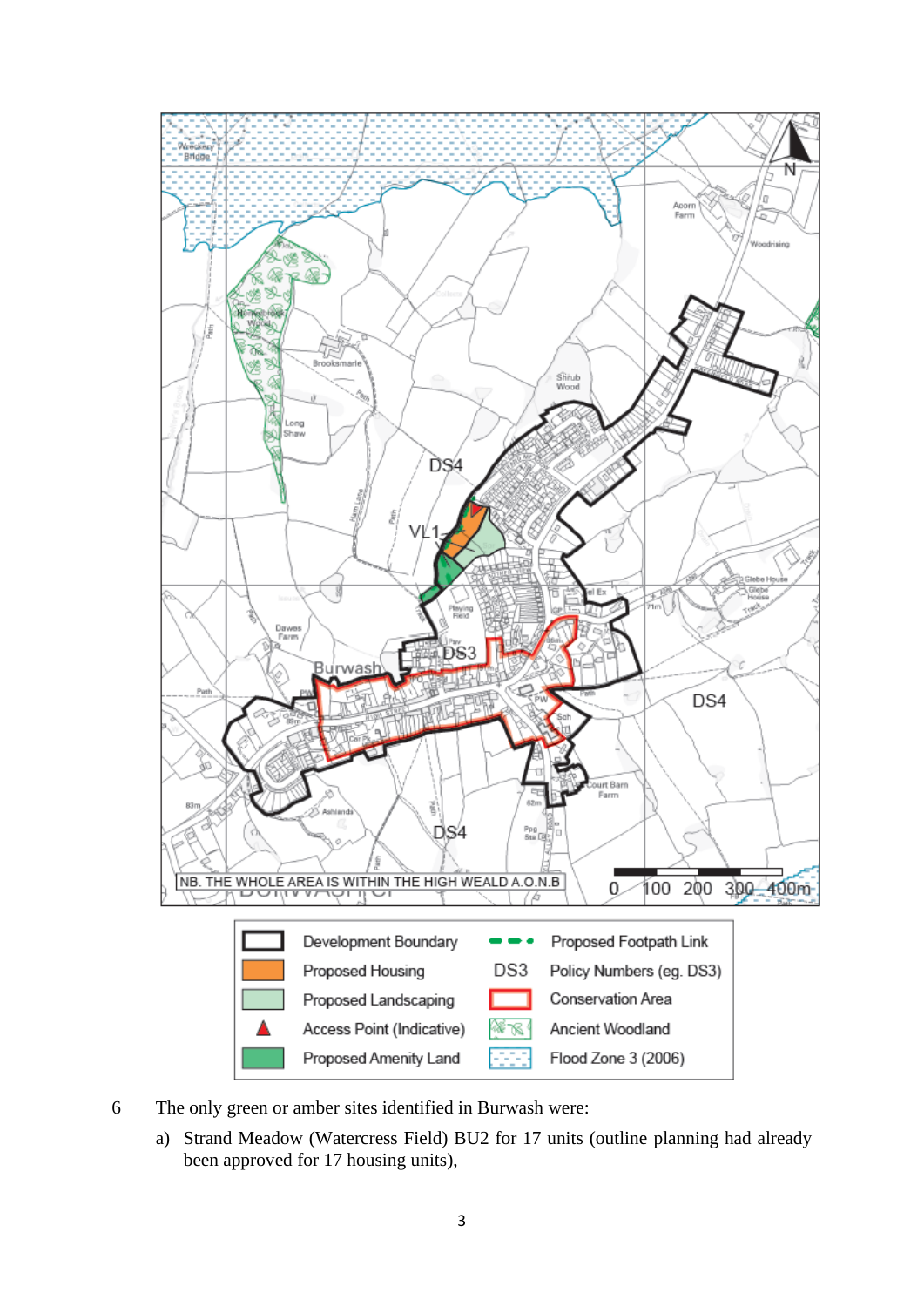

- 6 The only green or amber sites identified in Burwash were:
	- a) Strand Meadow (Watercress Field) BU2 for 17 units (outline planning had already been approved for 17 housing units),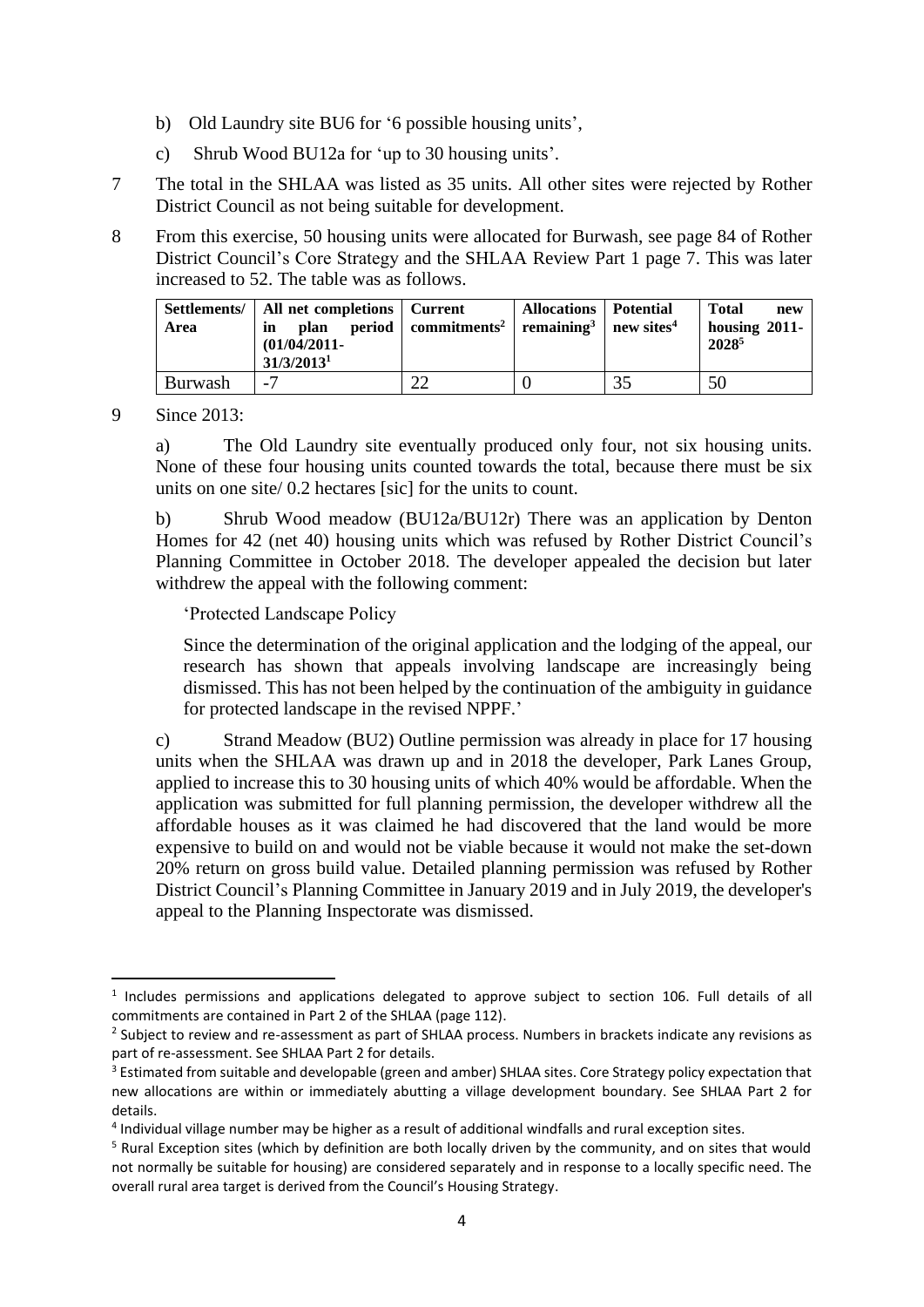- b) Old Laundry site BU6 for '6 possible housing units',
- c) Shrub Wood BU12a for 'up to 30 housing units'.
- 7 The total in the SHLAA was listed as 35 units. All other sites were rejected by Rother District Council as not being suitable for development.
- 8 From this exercise, 50 housing units were allocated for Burwash, see page 84 of Rother District Council's Core Strategy and the SHLAA Review Part 1 page 7. This was later increased to 52. The table was as follows.

| Area    | Settlements/   All net completions   Current<br>plan<br>in<br>$(01/04/2011 -$<br>31/3/2013 <sup>1</sup> | period   commitments <sup>2</sup>   remaining <sup>3</sup>   new sites <sup>4</sup> | <b>Allocations</b>   Potential |    | <b>Total</b><br>new<br>housing $2011$ -<br>2028 <sup>5</sup> |
|---------|---------------------------------------------------------------------------------------------------------|-------------------------------------------------------------------------------------|--------------------------------|----|--------------------------------------------------------------|
| Burwash | $\overline{\phantom{0}}$                                                                                |                                                                                     |                                | 35 | 50                                                           |

9 Since 2013:

a) The Old Laundry site eventually produced only four, not six housing units. None of these four housing units counted towards the total, because there must be six units on one site/ 0.2 hectares [sic] for the units to count.

b) Shrub Wood meadow (BU12a/BU12r) There was an application by Denton Homes for 42 (net 40) housing units which was refused by Rother District Council's Planning Committee in October 2018. The developer appealed the decision but later withdrew the appeal with the following comment:

'Protected Landscape Policy

Since the determination of the original application and the lodging of the appeal, our research has shown that appeals involving landscape are increasingly being dismissed. This has not been helped by the continuation of the ambiguity in guidance for protected landscape in the revised NPPF.'

c) Strand Meadow (BU2) Outline permission was already in place for 17 housing units when the SHLAA was drawn up and in 2018 the developer, Park Lanes Group, applied to increase this to 30 housing units of which 40% would be affordable. When the application was submitted for full planning permission, the developer withdrew all the affordable houses as it was claimed he had discovered that the land would be more expensive to build on and would not be viable because it would not make the set-down 20% return on gross build value. Detailed planning permission was refused by Rother District Council's Planning Committee in January 2019 and in July 2019, the developer's appeal to the Planning Inspectorate was dismissed.

<sup>&</sup>lt;sup>1</sup> Includes permissions and applications delegated to approve subject to section 106. Full details of all commitments are contained in Part 2 of the SHLAA (page 112).

<sup>&</sup>lt;sup>2</sup> Subject to review and re-assessment as part of SHLAA process. Numbers in brackets indicate any revisions as part of re-assessment. See SHLAA Part 2 for details.

<sup>&</sup>lt;sup>3</sup> Estimated from suitable and developable (green and amber) SHLAA sites. Core Strategy policy expectation that new allocations are within or immediately abutting a village development boundary. See SHLAA Part 2 for details.

<sup>&</sup>lt;sup>4</sup> Individual village number may be higher as a result of additional windfalls and rural exception sites.

<sup>5</sup> Rural Exception sites (which by definition are both locally driven by the community, and on sites that would not normally be suitable for housing) are considered separately and in response to a locally specific need. The overall rural area target is derived from the Council's Housing Strategy.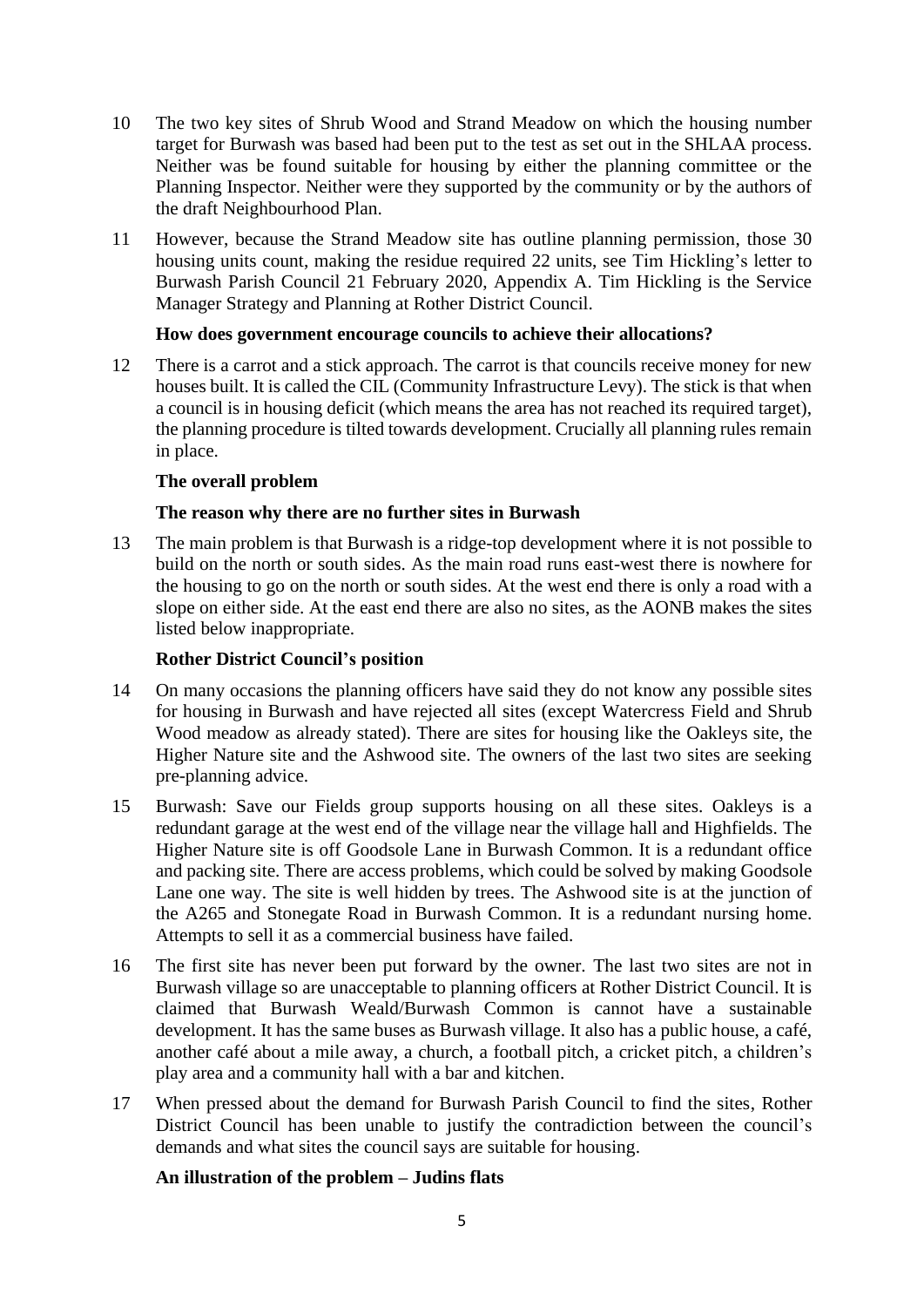- 10 The two key sites of Shrub Wood and Strand Meadow on which the housing number target for Burwash was based had been put to the test as set out in the SHLAA process. Neither was be found suitable for housing by either the planning committee or the Planning Inspector. Neither were they supported by the community or by the authors of the draft Neighbourhood Plan.
- 11 However, because the Strand Meadow site has outline planning permission, those 30 housing units count, making the residue required 22 units, see Tim Hickling's letter to Burwash Parish Council 21 February 2020, Appendix A. Tim Hickling is the Service Manager Strategy and Planning at Rother District Council.

## **How does government encourage councils to achieve their allocations?**

12 There is a carrot and a stick approach. The carrot is that councils receive money for new houses built. It is called the CIL (Community Infrastructure Levy). The stick is that when a council is in housing deficit (which means the area has not reached its required target), the planning procedure is tilted towards development. Crucially all planning rules remain in place.

# **The overall problem**

## **The reason why there are no further sites in Burwash**

13 The main problem is that Burwash is a ridge-top development where it is not possible to build on the north or south sides. As the main road runs east-west there is nowhere for the housing to go on the north or south sides. At the west end there is only a road with a slope on either side. At the east end there are also no sites, as the AONB makes the sites listed below inappropriate.

## **Rother District Council's position**

- 14 On many occasions the planning officers have said they do not know any possible sites for housing in Burwash and have rejected all sites (except Watercress Field and Shrub Wood meadow as already stated). There are sites for housing like the Oakleys site, the Higher Nature site and the Ashwood site. The owners of the last two sites are seeking pre-planning advice.
- 15 Burwash: Save our Fields group supports housing on all these sites. Oakleys is a redundant garage at the west end of the village near the village hall and Highfields. The Higher Nature site is off Goodsole Lane in Burwash Common. It is a redundant office and packing site. There are access problems, which could be solved by making Goodsole Lane one way. The site is well hidden by trees. The Ashwood site is at the junction of the A265 and Stonegate Road in Burwash Common. It is a redundant nursing home. Attempts to sell it as a commercial business have failed.
- 16 The first site has never been put forward by the owner. The last two sites are not in Burwash village so are unacceptable to planning officers at Rother District Council. It is claimed that Burwash Weald/Burwash Common is cannot have a sustainable development. It has the same buses as Burwash village. It also has a public house, a café, another café about a mile away, a church, a football pitch, a cricket pitch, a children's play area and a community hall with a bar and kitchen.
- 17 When pressed about the demand for Burwash Parish Council to find the sites, Rother District Council has been unable to justify the contradiction between the council's demands and what sites the council says are suitable for housing.

## **An illustration of the problem – Judins flats**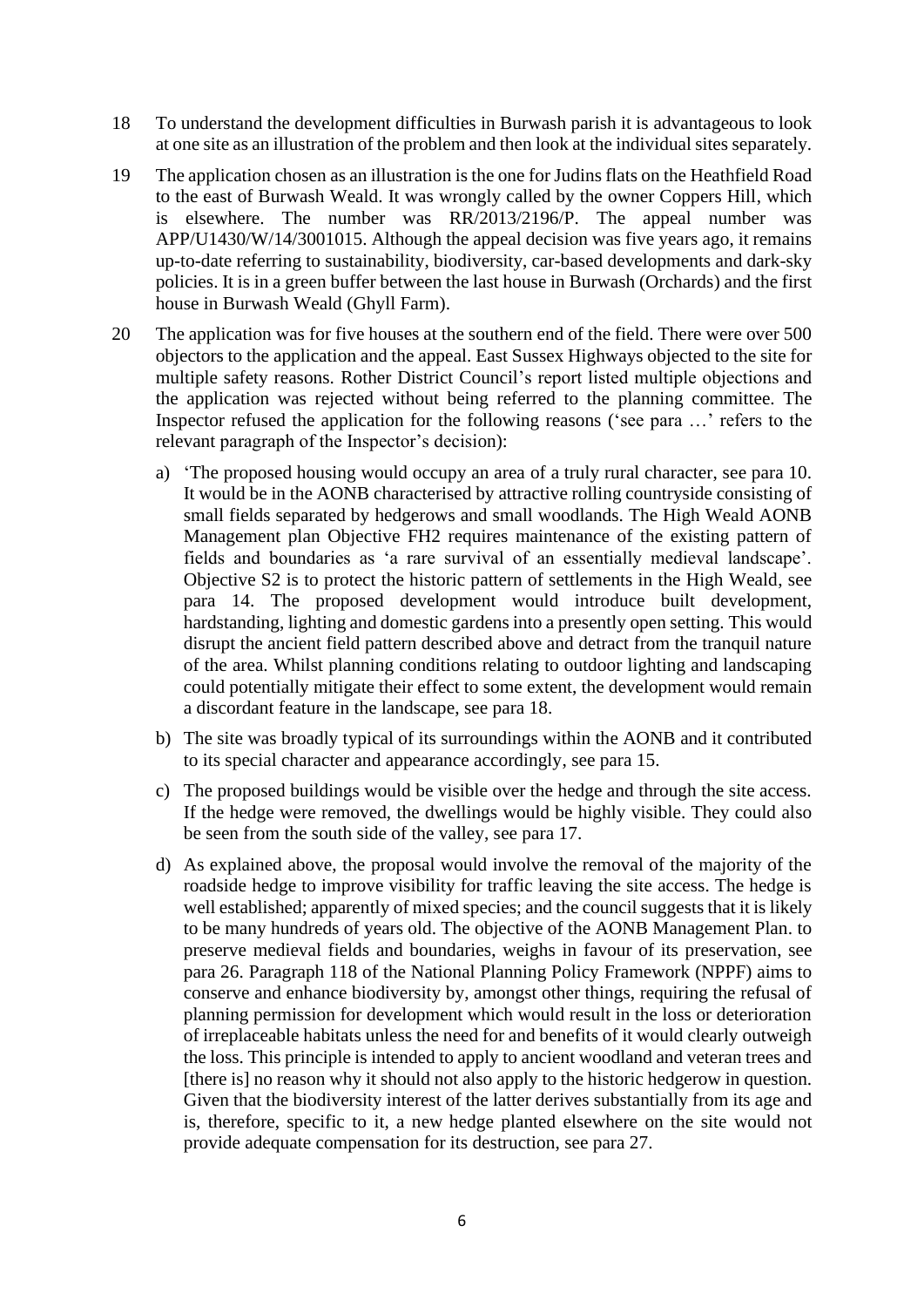- 18 To understand the development difficulties in Burwash parish it is advantageous to look at one site as an illustration of the problem and then look at the individual sites separately.
- 19 The application chosen as an illustration is the one for Judins flats on the Heathfield Road to the east of Burwash Weald. It was wrongly called by the owner Coppers Hill, which is elsewhere. The number was RR/2013/2196/P. The appeal number was APP/U1430/W/14/3001015. Although the appeal decision was five years ago, it remains up-to-date referring to sustainability, biodiversity, car-based developments and dark-sky policies. It is in a green buffer between the last house in Burwash (Orchards) and the first house in Burwash Weald (Ghyll Farm).
- 20 The application was for five houses at the southern end of the field. There were over 500 objectors to the application and the appeal. East Sussex Highways objected to the site for multiple safety reasons. Rother District Council's report listed multiple objections and the application was rejected without being referred to the planning committee. The Inspector refused the application for the following reasons ('see para …' refers to the relevant paragraph of the Inspector's decision):
	- a) 'The proposed housing would occupy an area of a truly rural character, see para 10. It would be in the AONB characterised by attractive rolling countryside consisting of small fields separated by hedgerows and small woodlands. The High Weald AONB Management plan Objective FH2 requires maintenance of the existing pattern of fields and boundaries as 'a rare survival of an essentially medieval landscape'. Objective S2 is to protect the historic pattern of settlements in the High Weald, see para 14. The proposed development would introduce built development, hardstanding, lighting and domestic gardens into a presently open setting. This would disrupt the ancient field pattern described above and detract from the tranquil nature of the area. Whilst planning conditions relating to outdoor lighting and landscaping could potentially mitigate their effect to some extent, the development would remain a discordant feature in the landscape, see para 18.
	- b) The site was broadly typical of its surroundings within the AONB and it contributed to its special character and appearance accordingly, see para 15.
	- c) The proposed buildings would be visible over the hedge and through the site access. If the hedge were removed, the dwellings would be highly visible. They could also be seen from the south side of the valley, see para 17.
	- d) As explained above, the proposal would involve the removal of the majority of the roadside hedge to improve visibility for traffic leaving the site access. The hedge is well established; apparently of mixed species; and the council suggests that it is likely to be many hundreds of years old. The objective of the AONB Management Plan. to preserve medieval fields and boundaries, weighs in favour of its preservation, see para 26. Paragraph 118 of the National Planning Policy Framework (NPPF) aims to conserve and enhance biodiversity by, amongst other things, requiring the refusal of planning permission for development which would result in the loss or deterioration of irreplaceable habitats unless the need for and benefits of it would clearly outweigh the loss. This principle is intended to apply to ancient woodland and veteran trees and [there is] no reason why it should not also apply to the historic hedgerow in question. Given that the biodiversity interest of the latter derives substantially from its age and is, therefore, specific to it, a new hedge planted elsewhere on the site would not provide adequate compensation for its destruction, see para 27.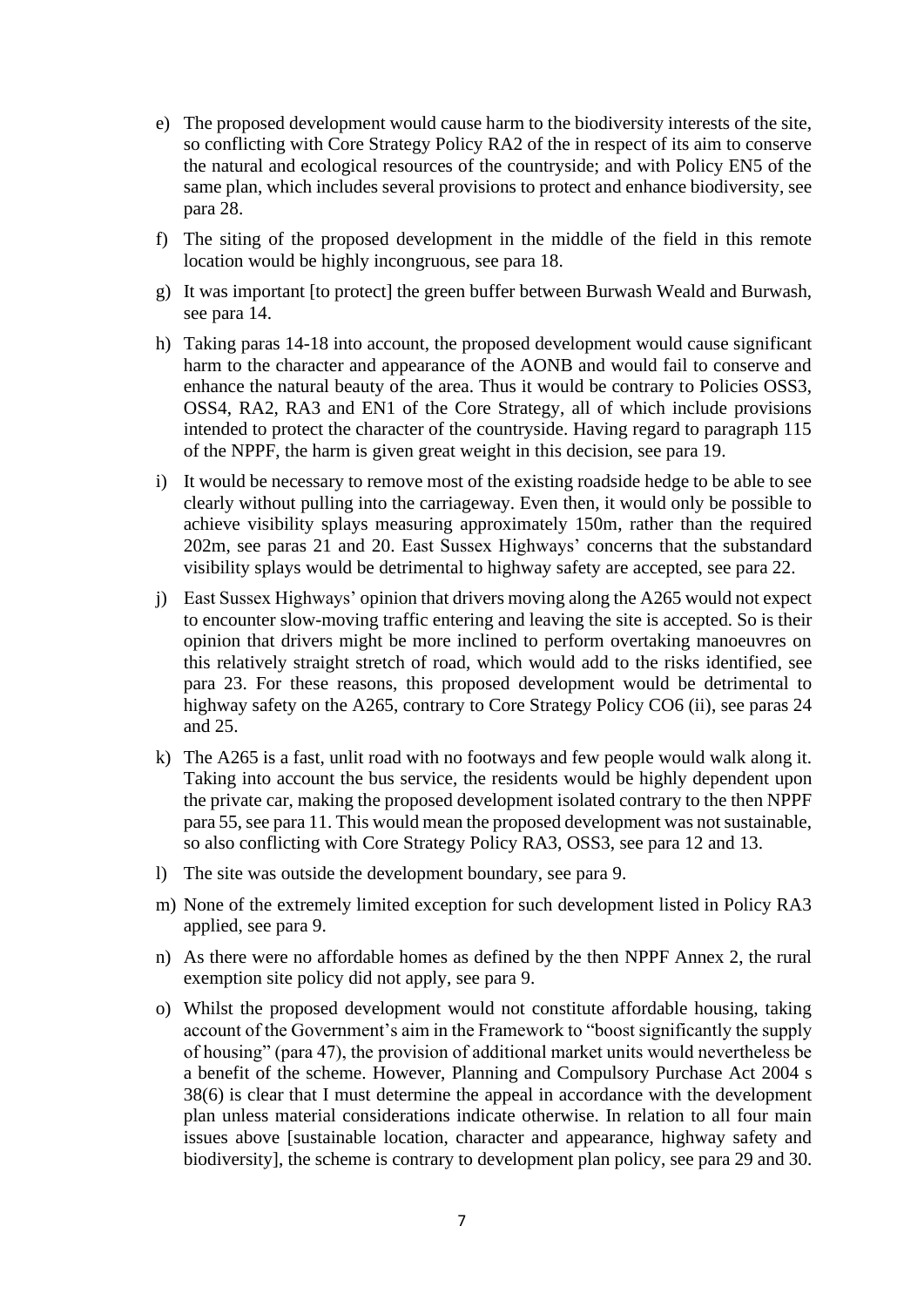- e) The proposed development would cause harm to the biodiversity interests of the site, so conflicting with Core Strategy Policy RA2 of the in respect of its aim to conserve the natural and ecological resources of the countryside; and with Policy EN5 of the same plan, which includes several provisions to protect and enhance biodiversity, see para 28.
- f) The siting of the proposed development in the middle of the field in this remote location would be highly incongruous, see para 18.
- g) It was important [to protect] the green buffer between Burwash Weald and Burwash, see para 14.
- h) Taking paras 14-18 into account, the proposed development would cause significant harm to the character and appearance of the AONB and would fail to conserve and enhance the natural beauty of the area. Thus it would be contrary to Policies OSS3, OSS4, RA2, RA3 and EN1 of the Core Strategy, all of which include provisions intended to protect the character of the countryside. Having regard to paragraph 115 of the NPPF, the harm is given great weight in this decision, see para 19.
- i) It would be necessary to remove most of the existing roadside hedge to be able to see clearly without pulling into the carriageway. Even then, it would only be possible to achieve visibility splays measuring approximately 150m, rather than the required 202m, see paras 21 and 20. East Sussex Highways' concerns that the substandard visibility splays would be detrimental to highway safety are accepted, see para 22.
- j) East Sussex Highways' opinion that drivers moving along the A265 would not expect to encounter slow-moving traffic entering and leaving the site is accepted. So is their opinion that drivers might be more inclined to perform overtaking manoeuvres on this relatively straight stretch of road, which would add to the risks identified, see para 23. For these reasons, this proposed development would be detrimental to highway safety on the A265, contrary to Core Strategy Policy CO6 (ii), see paras 24 and 25.
- k) The A265 is a fast, unlit road with no footways and few people would walk along it. Taking into account the bus service, the residents would be highly dependent upon the private car, making the proposed development isolated contrary to the then NPPF para 55, see para 11. This would mean the proposed development was not sustainable, so also conflicting with Core Strategy Policy RA3, OSS3, see para 12 and 13.
- l) The site was outside the development boundary, see para 9.
- m) None of the extremely limited exception for such development listed in Policy RA3 applied, see para 9.
- n) As there were no affordable homes as defined by the then NPPF Annex 2, the rural exemption site policy did not apply, see para 9.
- o) Whilst the proposed development would not constitute affordable housing, taking account of the Government's aim in the Framework to "boost significantly the supply of housing" (para 47), the provision of additional market units would nevertheless be a benefit of the scheme. However, Planning and Compulsory Purchase Act 2004 s 38(6) is clear that I must determine the appeal in accordance with the development plan unless material considerations indicate otherwise. In relation to all four main issues above [sustainable location, character and appearance, highway safety and biodiversity], the scheme is contrary to development plan policy, see para 29 and 30.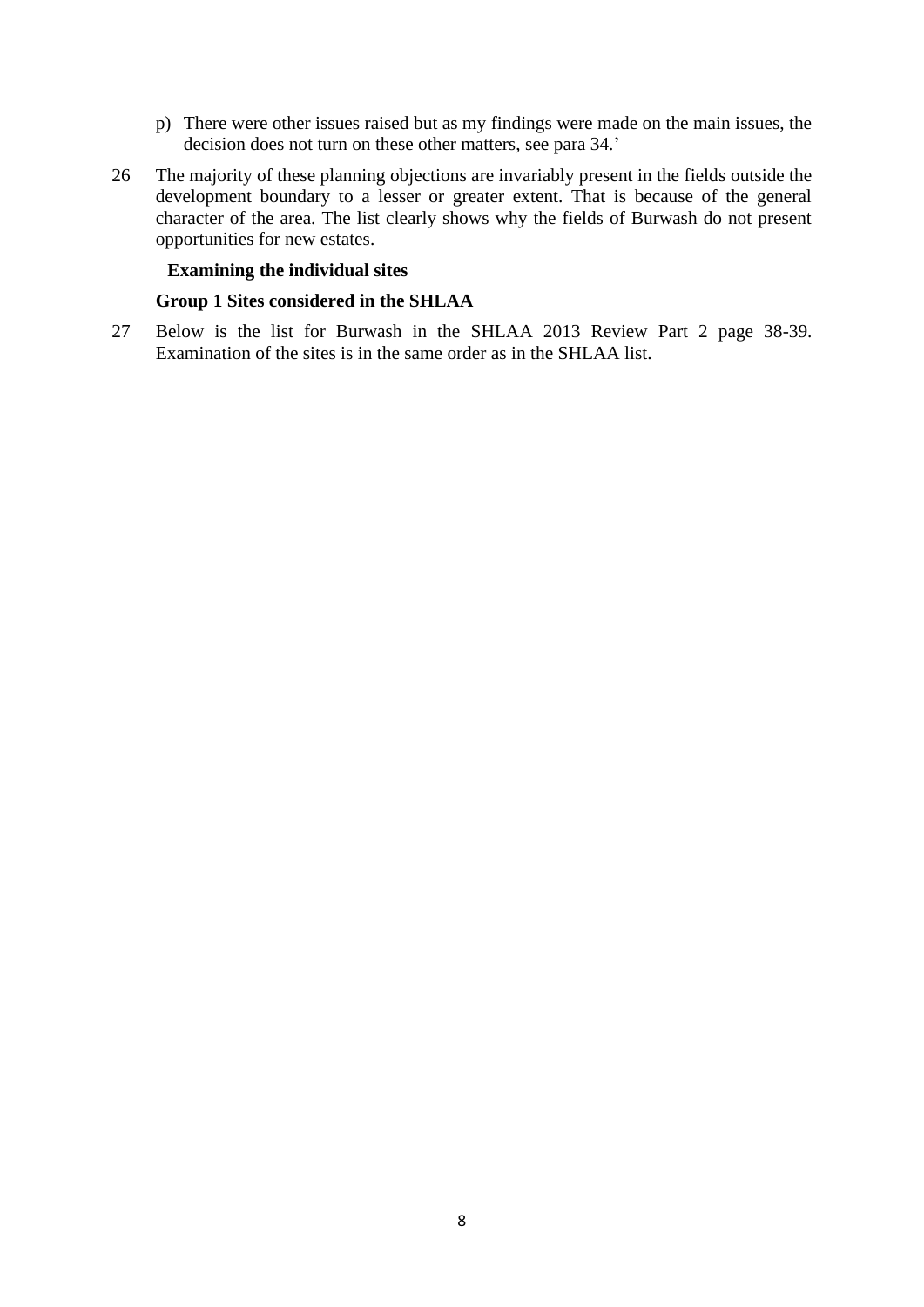- p) There were other issues raised but as my findings were made on the main issues, the decision does not turn on these other matters, see para 34.'
- 26 The majority of these planning objections are invariably present in the fields outside the development boundary to a lesser or greater extent. That is because of the general character of the area. The list clearly shows why the fields of Burwash do not present opportunities for new estates.

#### **Examining the individual sites**

#### **Group 1 Sites considered in the SHLAA**

27 Below is the list for Burwash in the SHLAA 2013 Review Part 2 page 38-39. Examination of the sites is in the same order as in the SHLAA list.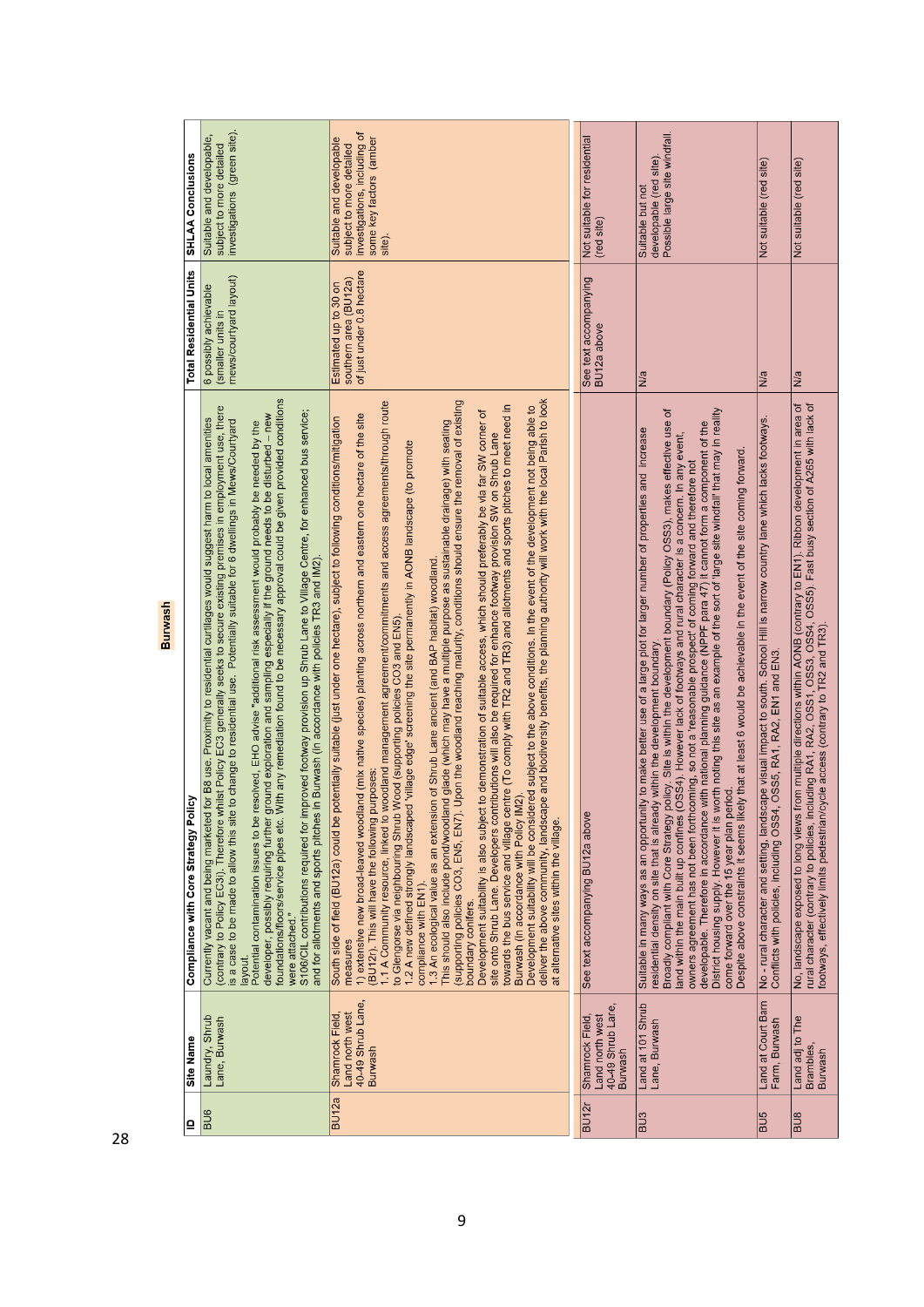| $\mathbf{a}$      | Site Name                                                                 | Compliance with Core Strategy Policy                                                                                                                                                                                                                                                                                                                                                                                                                                                                                                                                                                                                                                                                                                                                                                                                                                                                                                                                                                                                                                                                                                                                                                                                                                                                                                                                                                                                                                                                                                                                                                                                                                                                                                                                                                        | <b>Total Residential Units</b>                                              | <b>SHLAA Conclusions</b>                                                                                                  |
|-------------------|---------------------------------------------------------------------------|-------------------------------------------------------------------------------------------------------------------------------------------------------------------------------------------------------------------------------------------------------------------------------------------------------------------------------------------------------------------------------------------------------------------------------------------------------------------------------------------------------------------------------------------------------------------------------------------------------------------------------------------------------------------------------------------------------------------------------------------------------------------------------------------------------------------------------------------------------------------------------------------------------------------------------------------------------------------------------------------------------------------------------------------------------------------------------------------------------------------------------------------------------------------------------------------------------------------------------------------------------------------------------------------------------------------------------------------------------------------------------------------------------------------------------------------------------------------------------------------------------------------------------------------------------------------------------------------------------------------------------------------------------------------------------------------------------------------------------------------------------------------------------------------------------------|-----------------------------------------------------------------------------|---------------------------------------------------------------------------------------------------------------------------|
| $\frac{1}{16}$    | Laundry, Shrub<br>Lane, Burwash                                           | With any remediation found to be necessary approval could be given provided conditions<br>(contrary to Policy EC3I). Therefore whilst Policy EC3 generally seeks to secure existing premises in employment use, there<br>is a case to be made to allow this site to change to residential use.  Potentially suitable for 6<br>improved footway provision up Shrub Lane to Village Centre, for enhanced bus service;<br>ground exploration and sampling especially if the ground needs to be disturbed - new<br>Currently vacant and being marketed for B8 use. Proximity to residential curtilages would suggest harm to local amentites<br>resolved, EHO advise "additional risk assessment would probably be needed by the<br>and for allotments and sports pitches in Burwash (in accordance with policies TR3 and IM2).<br>Potential contamination issues to be<br>developer, possibly requiring further<br>foundations/floors/service pipes etc.<br>S106/CIL contributions required for<br>were attached."<br>layout.                                                                                                                                                                                                                                                                                                                                                                                                                                                                                                                                                                                                                                                                                                                                                                                  | mews/courtyard layout)<br>6 possibly achievable<br>(smaller units i         | investigations (green site).<br>Suitable and developable,<br>subject to more detailed                                     |
| BU <sub>12a</sub> | 40-49 Shrub Lane,<br>Land north west<br>Shamrock Field,<br><b>Burwash</b> | deliver the above community, landscape and biodiversity benefits, the planning authority will work with the local Parish to look<br>1.1 A Community resource, linked to woodland management agreement/commitments and access agreements/through route<br>(supporting policies CO3, EN5, EN7). Upon the woodland reaching maturity, conditions should ensure the removal of existing<br>towards the bus service and village centre (To comply with TR2 and TR3) and allotments and sports pitches to meet need in<br>Development suitability will be considered subject to the above conditions. In the event of the development not being able to<br>Development suitability is also subject to demonstration of suitable access, which should preferably be via far SW corner of<br>1) extensive new broad-leaved woodland (mix native species) planting across northern and eastern one hectare of the site<br>potentially suitable (just under one hectare), subject to following conditions/mitigation<br>This should also include pond/woodland glade (which may have a multiple purpose as sustainable drainage) with seating<br>site onto Shrub Lane. Developers contributions will also be required for enhance footway provision SW on Shrub Lane<br>1.2 A new defined strongly landscaped 'village edge' screening the site permanently in AONB landscape (to promote<br>1.3 An ecological value as an extension of Shrub Lane ancient (and BAP habitat) woodland.<br>to Glengorse via neighbouring Shrub Wood (supporting policies CO3 and EN5)<br>purposes:<br>Burwash (in accordance with Policy IM2).<br>South side of field (BU12a) could be<br>(BU12r). This will have the following<br>at alternative sites within the village.<br>compliance with EN1).<br>boundary conifers.<br>measures | Estimated up to 30 on<br>southern area (BU12a)<br>of just under 0.8 hectare | investigations, including of<br>some key factors (amber<br>Suitable and developable<br>subject to more detailed<br>site). |
|                   |                                                                           |                                                                                                                                                                                                                                                                                                                                                                                                                                                                                                                                                                                                                                                                                                                                                                                                                                                                                                                                                                                                                                                                                                                                                                                                                                                                                                                                                                                                                                                                                                                                                                                                                                                                                                                                                                                                             |                                                                             |                                                                                                                           |
| BU <sub>12r</sub> | 40-49 Shrub Lane,<br>Shamrock Field,<br>Land north west<br><b>Burwash</b> | See text accompanying BU12a above                                                                                                                                                                                                                                                                                                                                                                                                                                                                                                                                                                                                                                                                                                                                                                                                                                                                                                                                                                                                                                                                                                                                                                                                                                                                                                                                                                                                                                                                                                                                                                                                                                                                                                                                                                           | See text accompanying<br>BU12a above                                        | Not suitable for residential<br>(red site)                                                                                |
| BU <sub>3</sub>   | Land at 101 Shrub<br>Lane, Burwash                                        | District housing supply. However it is worth noting this site as an example of the sort of large site windfall that may in reality<br>Broadly compliant with Core Strategy policy. Site is within the development boundary (Policy OSS3), makes effective use of<br>developable. Therefore in accordance with national planning guidance (NPPF para 47) it cannot form a component of the<br>Suitable in many ways as an opportunity to make better use of a large plot for larger number of properties and increase<br>land within the main built up confines (OSS4). However lack of footways and rural character is a concern. In any event,<br>Ikely that at least 6 would be achievable in the event of the site coming forward<br>owners agreement has not been forthcoming, so not a 'reasonable prospect' of coming forward and therefore not<br>residential density on site that is already within the development boundary.<br>period.<br>come forward over the 15 year plan<br>Despite above constraints it seems I                                                                                                                                                                                                                                                                                                                                                                                                                                                                                                                                                                                                                                                                                                                                                                              | N/a                                                                         | Possible large site windfall.<br>developable (red site).<br>Suitable but not                                              |
| BU <sub>5</sub>   | Land at Court Barn<br>Farm, Burwash                                       | No - rural character and setting, landscape visual impact to south. School Hill is narrow country lane which lacks footways.<br>Conflicts with policies, including OSS4, OSS5, RA1, RA2, EN1 and EN3.                                                                                                                                                                                                                                                                                                                                                                                                                                                                                                                                                                                                                                                                                                                                                                                                                                                                                                                                                                                                                                                                                                                                                                                                                                                                                                                                                                                                                                                                                                                                                                                                       | N/a                                                                         | Not suitable (red site)                                                                                                   |
| BU <sub>8</sub>   | Land adj to The<br>Brambles,<br>Burwash                                   | No, landscape exposed to long views from multiple directions within AONB (contrary to EN1). Ribbon development in area of<br>rural character (contrary to policies, including RA1, RA2, OSS1, OSS3, OSS4, OSS5). Fast busy sectio<br>footways, effectively limits pedestrian/cycle access (contrary to TR2 and TR3).                                                                                                                                                                                                                                                                                                                                                                                                                                                                                                                                                                                                                                                                                                                                                                                                                                                                                                                                                                                                                                                                                                                                                                                                                                                                                                                                                                                                                                                                                        | N/a                                                                         | Not suitable (red site)                                                                                                   |

Burwash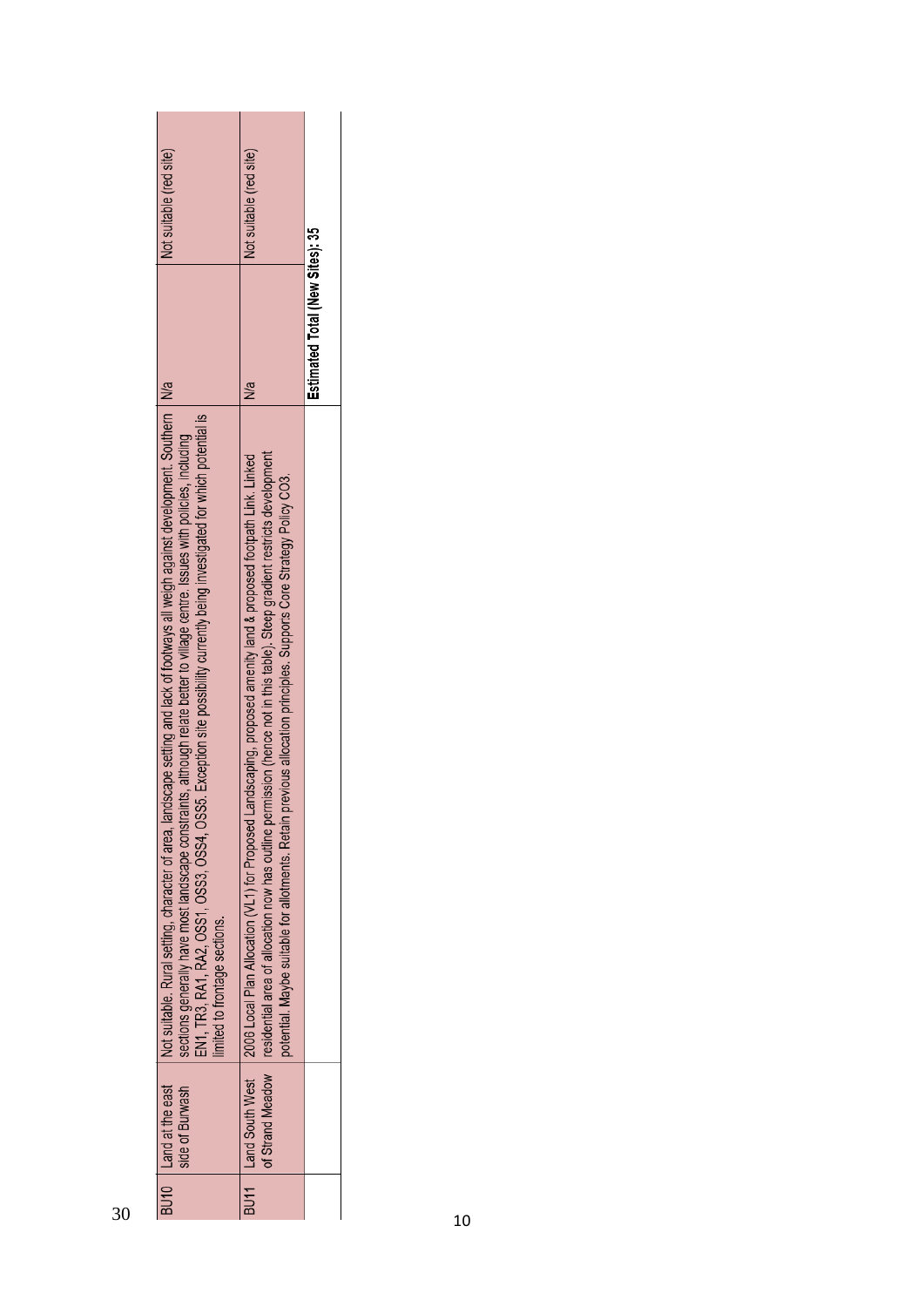| Not suitable (red site)<br>Not suitable (red site)<br>Estimated Total (New Sites): 35<br>N/a<br>N/a<br>Not suitable. Rural setting, character of area, landscape setting and lack of footways all weigh against development. Southern<br>EN1, TR3, RA1, RA2, OSS1, OSS3, OSS4, OSS5. Exception site possibility currently being investigated for which potential is<br>sections generally have most landscape constraints, although relate better to village centre. Issues with policies, including<br>residential area of allocation now has outline permission (hence not in this table). Steep gradient restricts development<br>2006 Local Plan Allocation (VL1) for Proposed Landscaping, proposed amenity land & proposed footpath Link. Linked<br>potential. Maybe suitable for allotments. Retain previous allocation principles. Supports Core Strategy Pollcy CO3.<br>limited to frontage sections.<br>of Strand Meadow<br>Land South West<br>Land at the east<br>side of Burwash |      |      |  |
|----------------------------------------------------------------------------------------------------------------------------------------------------------------------------------------------------------------------------------------------------------------------------------------------------------------------------------------------------------------------------------------------------------------------------------------------------------------------------------------------------------------------------------------------------------------------------------------------------------------------------------------------------------------------------------------------------------------------------------------------------------------------------------------------------------------------------------------------------------------------------------------------------------------------------------------------------------------------------------------------|------|------|--|
|                                                                                                                                                                                                                                                                                                                                                                                                                                                                                                                                                                                                                                                                                                                                                                                                                                                                                                                                                                                              |      |      |  |
|                                                                                                                                                                                                                                                                                                                                                                                                                                                                                                                                                                                                                                                                                                                                                                                                                                                                                                                                                                                              |      |      |  |
|                                                                                                                                                                                                                                                                                                                                                                                                                                                                                                                                                                                                                                                                                                                                                                                                                                                                                                                                                                                              |      |      |  |
|                                                                                                                                                                                                                                                                                                                                                                                                                                                                                                                                                                                                                                                                                                                                                                                                                                                                                                                                                                                              |      |      |  |
| 30                                                                                                                                                                                                                                                                                                                                                                                                                                                                                                                                                                                                                                                                                                                                                                                                                                                                                                                                                                                           | BU10 | BU11 |  |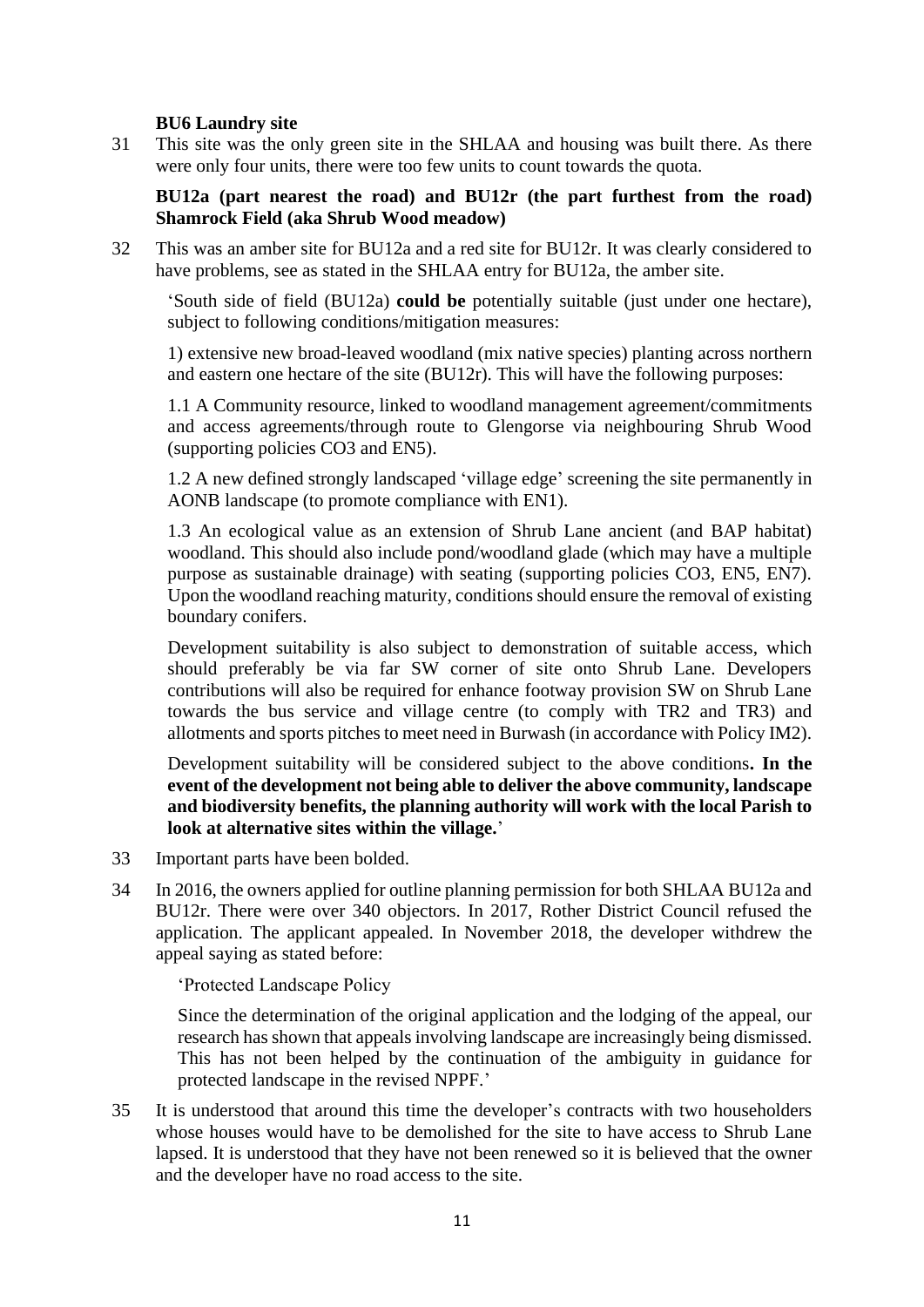## **BU6 Laundry site**

31 This site was the only green site in the SHLAA and housing was built there. As there were only four units, there were too few units to count towards the quota.

**BU12a (part nearest the road) and BU12r (the part furthest from the road) Shamrock Field (aka Shrub Wood meadow)** 

32 This was an amber site for BU12a and a red site for BU12r. It was clearly considered to have problems, see as stated in the SHLAA entry for BU12a, the amber site.

'South side of field (BU12a) **could be** potentially suitable (just under one hectare), subject to following conditions/mitigation measures:

1) extensive new broad-leaved woodland (mix native species) planting across northern and eastern one hectare of the site (BU12r). This will have the following purposes:

1.1 A Community resource, linked to woodland management agreement/commitments and access agreements/through route to Glengorse via neighbouring Shrub Wood (supporting policies CO3 and EN5).

1.2 A new defined strongly landscaped 'village edge' screening the site permanently in AONB landscape (to promote compliance with EN1).

1.3 An ecological value as an extension of Shrub Lane ancient (and BAP habitat) woodland. This should also include pond/woodland glade (which may have a multiple purpose as sustainable drainage) with seating (supporting policies CO3, EN5, EN7). Upon the woodland reaching maturity, conditions should ensure the removal of existing boundary conifers.

Development suitability is also subject to demonstration of suitable access, which should preferably be via far SW corner of site onto Shrub Lane. Developers contributions will also be required for enhance footway provision SW on Shrub Lane towards the bus service and village centre (to comply with TR2 and TR3) and allotments and sports pitches to meet need in Burwash (in accordance with Policy IM2).

Development suitability will be considered subject to the above conditions**. In the event of the development not being able to deliver the above community, landscape and biodiversity benefits, the planning authority will work with the local Parish to look at alternative sites within the village.**'

- 33 Important parts have been bolded.
- 34 In 2016, the owners applied for outline planning permission for both SHLAA BU12a and BU12r. There were over 340 objectors. In 2017, Rother District Council refused the application. The applicant appealed. In November 2018, the developer withdrew the appeal saying as stated before:

'Protected Landscape Policy

Since the determination of the original application and the lodging of the appeal, our research has shown that appeals involving landscape are increasingly being dismissed. This has not been helped by the continuation of the ambiguity in guidance for protected landscape in the revised NPPF.'

35 It is understood that around this time the developer's contracts with two householders whose houses would have to be demolished for the site to have access to Shrub Lane lapsed. It is understood that they have not been renewed so it is believed that the owner and the developer have no road access to the site.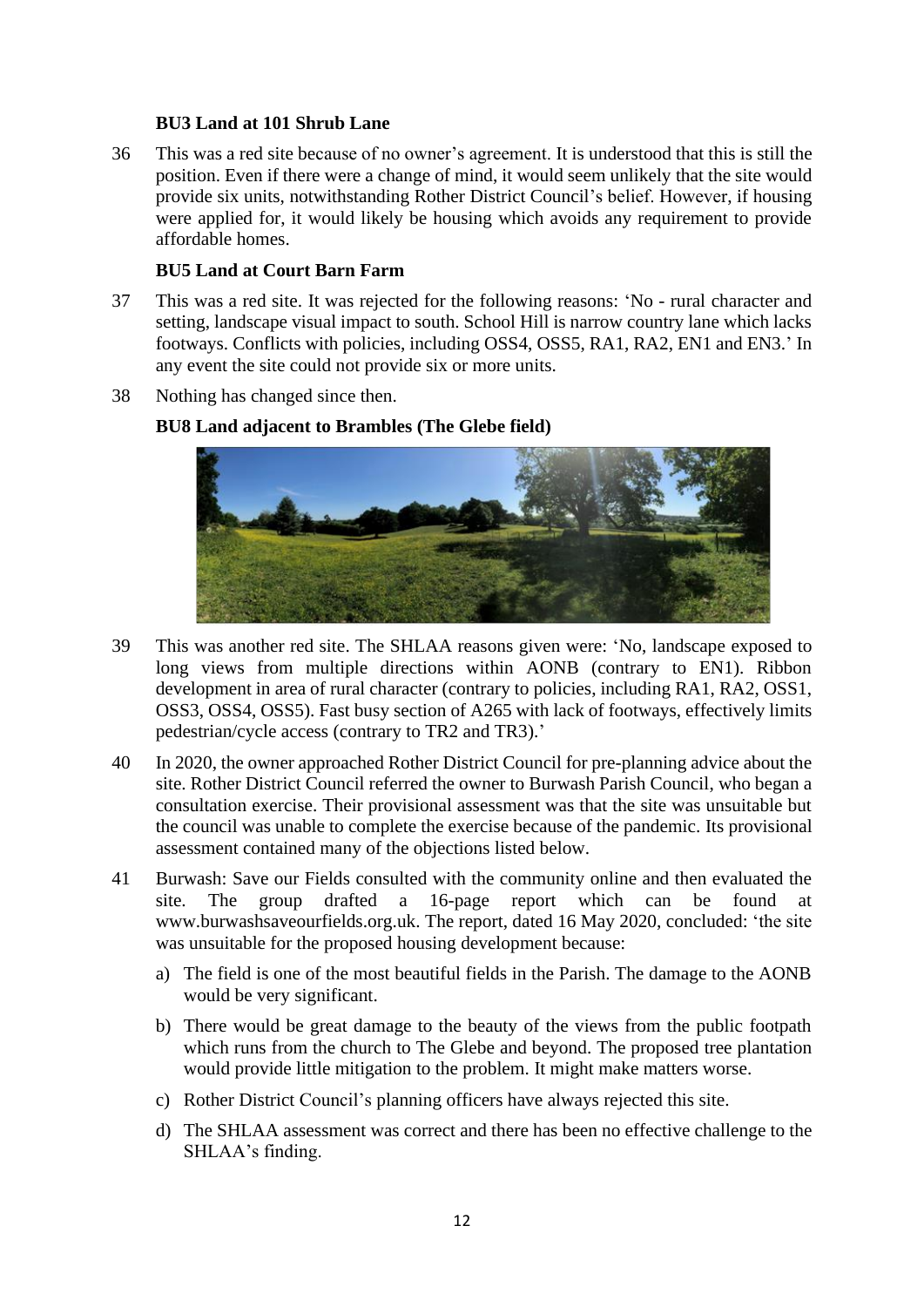## **BU3 Land at 101 Shrub Lane**

36 This was a red site because of no owner's agreement. It is understood that this is still the position. Even if there were a change of mind, it would seem unlikely that the site would provide six units, notwithstanding Rother District Council's belief. However, if housing were applied for, it would likely be housing which avoids any requirement to provide affordable homes.

## **BU5 Land at Court Barn Farm**

- 37 This was a red site. It was rejected for the following reasons: 'No rural character and setting, landscape visual impact to south. School Hill is narrow country lane which lacks footways. Conflicts with policies, including OSS4, OSS5, RA1, RA2, EN1 and EN3.' In any event the site could not provide six or more units.
- 38 Nothing has changed since then.

## **BU8 Land adjacent to Brambles (The Glebe field)**



- 39 This was another red site. The SHLAA reasons given were: 'No, landscape exposed to long views from multiple directions within AONB (contrary to EN1). Ribbon development in area of rural character (contrary to policies, including RA1, RA2, OSS1, OSS3, OSS4, OSS5). Fast busy section of A265 with lack of footways, effectively limits pedestrian/cycle access (contrary to TR2 and TR3).'
- 40 In 2020, the owner approached Rother District Council for pre-planning advice about the site. Rother District Council referred the owner to Burwash Parish Council, who began a consultation exercise. Their provisional assessment was that the site was unsuitable but the council was unable to complete the exercise because of the pandemic. Its provisional assessment contained many of the objections listed below.
- 41 Burwash: Save our Fields consulted with the community online and then evaluated the site. The group drafted a 16-page report which can be found at www.burwashsaveourfields.org.uk. The report, dated 16 May 2020, concluded: 'the site was unsuitable for the proposed housing development because:
	- a) The field is one of the most beautiful fields in the Parish. The damage to the AONB would be very significant.
	- b) There would be great damage to the beauty of the views from the public footpath which runs from the church to The Glebe and beyond. The proposed tree plantation would provide little mitigation to the problem. It might make matters worse.
	- c) Rother District Council's planning officers have always rejected this site.
	- d) The SHLAA assessment was correct and there has been no effective challenge to the SHLAA's finding.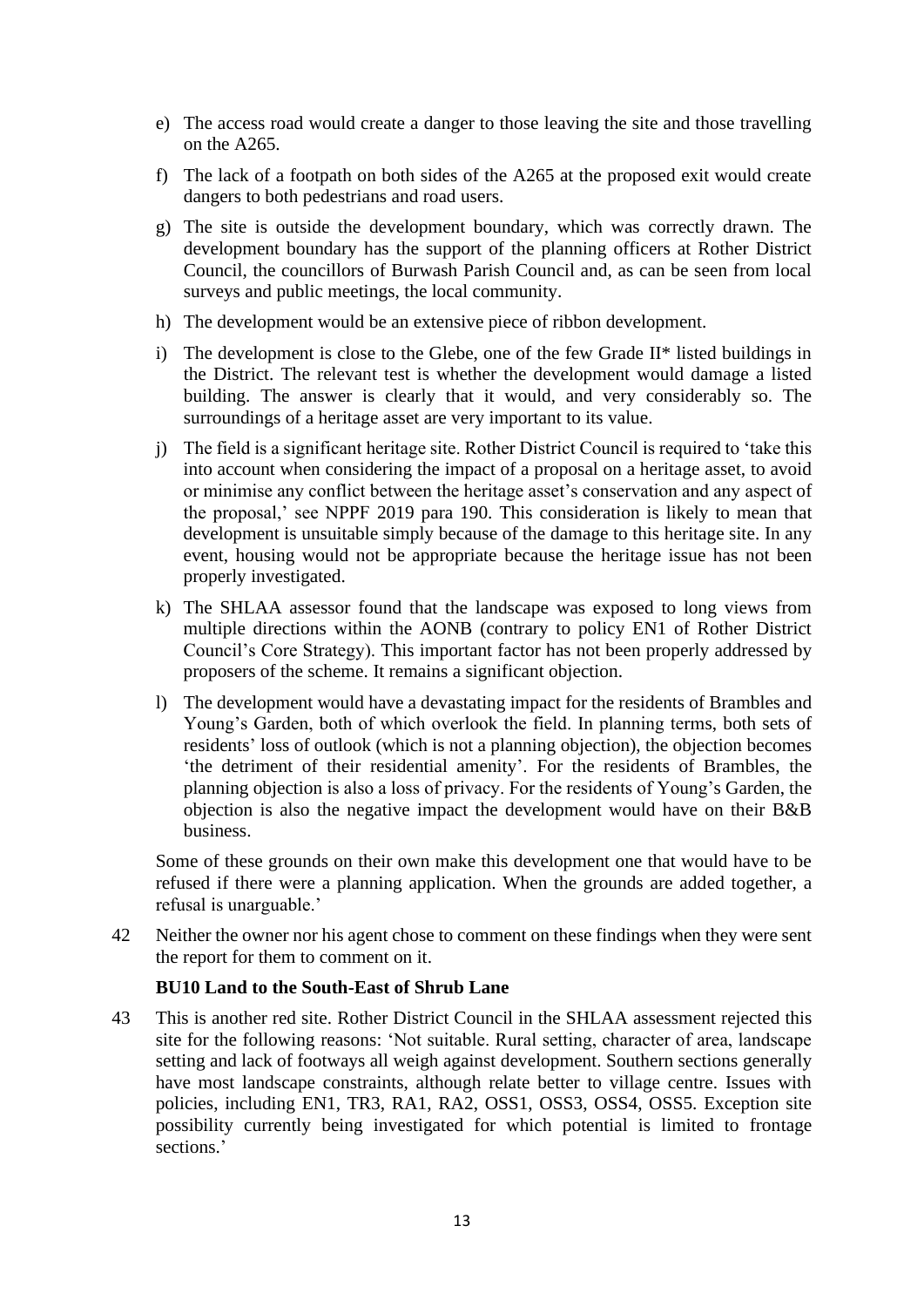- e) The access road would create a danger to those leaving the site and those travelling on the A265.
- f) The lack of a footpath on both sides of the A265 at the proposed exit would create dangers to both pedestrians and road users.
- g) The site is outside the development boundary, which was correctly drawn. The development boundary has the support of the planning officers at Rother District Council, the councillors of Burwash Parish Council and, as can be seen from local surveys and public meetings, the local community.
- h) The development would be an extensive piece of ribbon development.
- i) The development is close to the Glebe, one of the few Grade II\* listed buildings in the District. The relevant test is whether the development would damage a listed building. The answer is clearly that it would, and very considerably so. The surroundings of a heritage asset are very important to its value.
- j) The field is a significant heritage site. Rother District Council is required to 'take this into account when considering the impact of a proposal on a heritage asset, to avoid or minimise any conflict between the heritage asset's conservation and any aspect of the proposal,' see NPPF 2019 para 190. This consideration is likely to mean that development is unsuitable simply because of the damage to this heritage site. In any event, housing would not be appropriate because the heritage issue has not been properly investigated.
- k) The SHLAA assessor found that the landscape was exposed to long views from multiple directions within the AONB (contrary to policy EN1 of Rother District Council's Core Strategy). This important factor has not been properly addressed by proposers of the scheme. It remains a significant objection.
- l) The development would have a devastating impact for the residents of Brambles and Young's Garden, both of which overlook the field. In planning terms, both sets of residents' loss of outlook (which is not a planning objection), the objection becomes 'the detriment of their residential amenity'. For the residents of Brambles, the planning objection is also a loss of privacy. For the residents of Young's Garden, the objection is also the negative impact the development would have on their B&B business.

Some of these grounds on their own make this development one that would have to be refused if there were a planning application. When the grounds are added together, a refusal is unarguable.'

42 Neither the owner nor his agent chose to comment on these findings when they were sent the report for them to comment on it.

#### **BU10 Land to the South-East of Shrub Lane**

43 This is another red site. Rother District Council in the SHLAA assessment rejected this site for the following reasons: 'Not suitable. Rural setting, character of area, landscape setting and lack of footways all weigh against development. Southern sections generally have most landscape constraints, although relate better to village centre. Issues with policies, including EN1, TR3, RA1, RA2, OSS1, OSS3, OSS4, OSS5. Exception site possibility currently being investigated for which potential is limited to frontage sections.'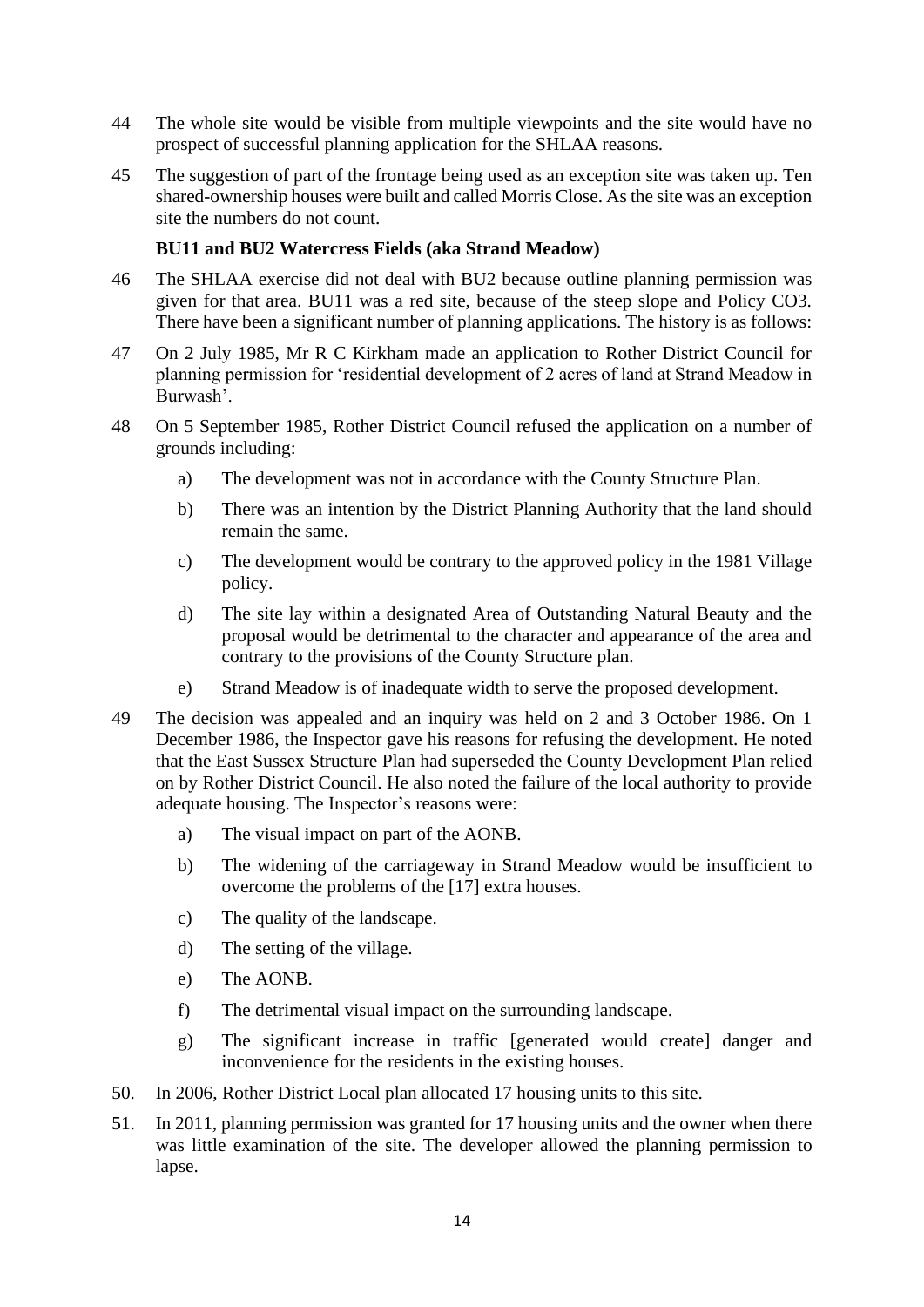- 44 The whole site would be visible from multiple viewpoints and the site would have no prospect of successful planning application for the SHLAA reasons.
- 45 The suggestion of part of the frontage being used as an exception site was taken up. Ten shared-ownership houses were built and called Morris Close. As the site was an exception site the numbers do not count.

# **BU11 and BU2 Watercress Fields (aka Strand Meadow)**

- 46 The SHLAA exercise did not deal with BU2 because outline planning permission was given for that area. BU11 was a red site, because of the steep slope and Policy CO3. There have been a significant number of planning applications. The history is as follows:
- 47 On 2 July 1985, Mr R C Kirkham made an application to Rother District Council for planning permission for 'residential development of 2 acres of land at Strand Meadow in Burwash'.
- 48 On 5 September 1985, Rother District Council refused the application on a number of grounds including:
	- a) The development was not in accordance with the County Structure Plan.
	- b) There was an intention by the District Planning Authority that the land should remain the same.
	- c) The development would be contrary to the approved policy in the 1981 Village policy.
	- d) The site lay within a designated Area of Outstanding Natural Beauty and the proposal would be detrimental to the character and appearance of the area and contrary to the provisions of the County Structure plan.
	- e) Strand Meadow is of inadequate width to serve the proposed development.
- 49 The decision was appealed and an inquiry was held on 2 and 3 October 1986. On 1 December 1986, the Inspector gave his reasons for refusing the development. He noted that the East Sussex Structure Plan had superseded the County Development Plan relied on by Rother District Council. He also noted the failure of the local authority to provide adequate housing. The Inspector's reasons were:
	- a) The visual impact on part of the AONB.
	- b) The widening of the carriageway in Strand Meadow would be insufficient to overcome the problems of the [17] extra houses.
	- c) The quality of the landscape.
	- d) The setting of the village.
	- e) The AONB.
	- f) The detrimental visual impact on the surrounding landscape.
	- g) The significant increase in traffic [generated would create] danger and inconvenience for the residents in the existing houses.
- 50. In 2006, Rother District Local plan allocated 17 housing units to this site.
- 51. In 2011, planning permission was granted for 17 housing units and the owner when there was little examination of the site. The developer allowed the planning permission to lapse.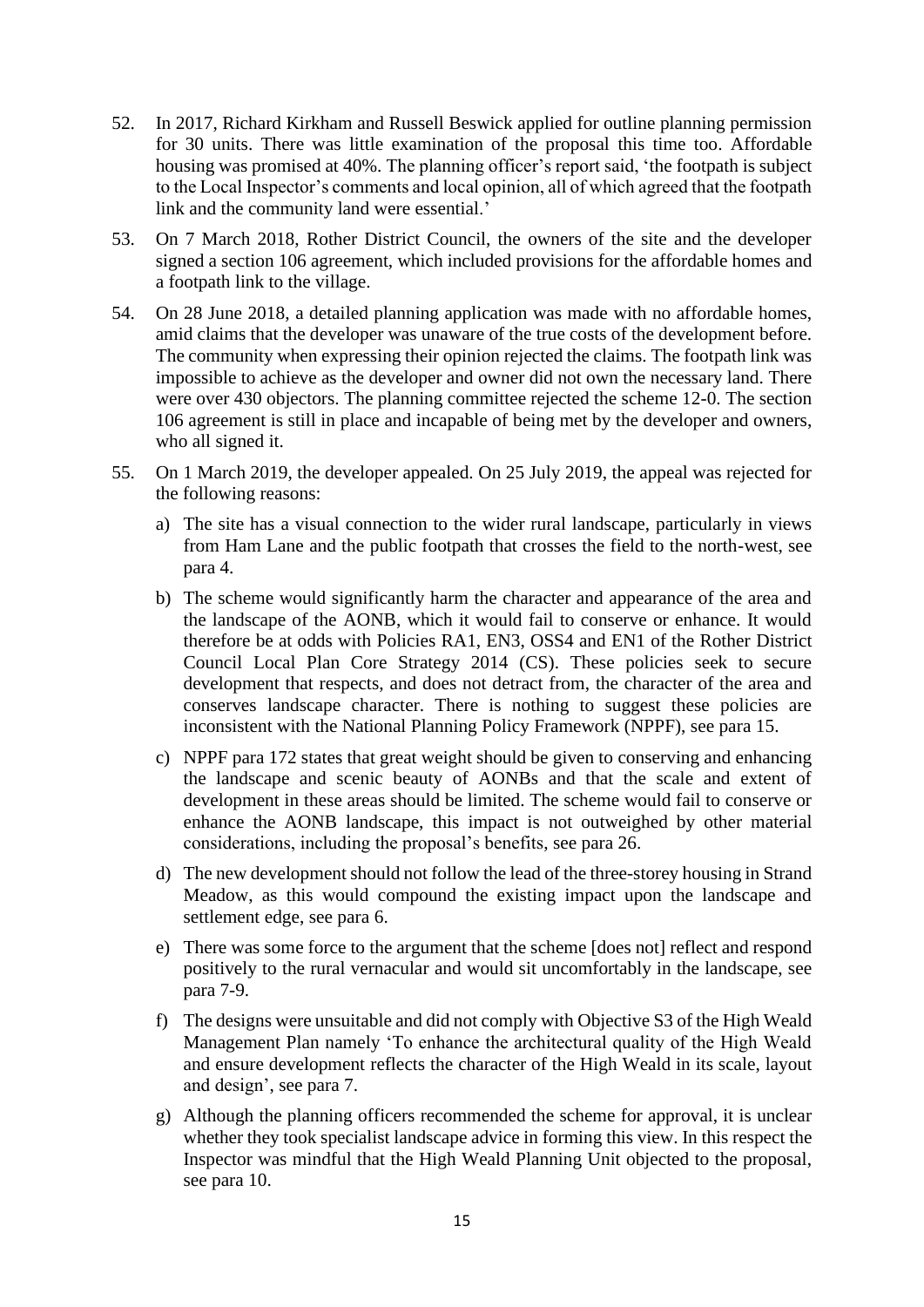- 52. In 2017, Richard Kirkham and Russell Beswick applied for outline planning permission for 30 units. There was little examination of the proposal this time too. Affordable housing was promised at 40%. The planning officer's report said, 'the footpath is subject to the Local Inspector's comments and local opinion, all of which agreed that the footpath link and the community land were essential.'
- 53. On 7 March 2018, Rother District Council, the owners of the site and the developer signed a section 106 agreement, which included provisions for the affordable homes and a footpath link to the village.
- 54. On 28 June 2018, a detailed planning application was made with no affordable homes, amid claims that the developer was unaware of the true costs of the development before. The community when expressing their opinion rejected the claims. The footpath link was impossible to achieve as the developer and owner did not own the necessary land. There were over 430 objectors. The planning committee rejected the scheme 12-0. The section 106 agreement is still in place and incapable of being met by the developer and owners, who all signed it.
- 55. On 1 March 2019, the developer appealed. On 25 July 2019, the appeal was rejected for the following reasons:
	- a) The site has a visual connection to the wider rural landscape, particularly in views from Ham Lane and the public footpath that crosses the field to the north-west, see para 4.
	- b) The scheme would significantly harm the character and appearance of the area and the landscape of the AONB, which it would fail to conserve or enhance. It would therefore be at odds with Policies RA1, EN3, OSS4 and EN1 of the Rother District Council Local Plan Core Strategy 2014 (CS). These policies seek to secure development that respects, and does not detract from, the character of the area and conserves landscape character. There is nothing to suggest these policies are inconsistent with the National Planning Policy Framework (NPPF), see para 15.
	- c) NPPF para 172 states that great weight should be given to conserving and enhancing the landscape and scenic beauty of AONBs and that the scale and extent of development in these areas should be limited. The scheme would fail to conserve or enhance the AONB landscape, this impact is not outweighed by other material considerations, including the proposal's benefits, see para 26.
	- d) The new development should not follow the lead of the three-storey housing in Strand Meadow, as this would compound the existing impact upon the landscape and settlement edge, see para 6.
	- e) There was some force to the argument that the scheme [does not] reflect and respond positively to the rural vernacular and would sit uncomfortably in the landscape, see para 7-9.
	- f) The designs were unsuitable and did not comply with Objective S3 of the High Weald Management Plan namely 'To enhance the architectural quality of the High Weald and ensure development reflects the character of the High Weald in its scale, layout and design', see para 7.
	- g) Although the planning officers recommended the scheme for approval, it is unclear whether they took specialist landscape advice in forming this view. In this respect the Inspector was mindful that the High Weald Planning Unit objected to the proposal, see para 10.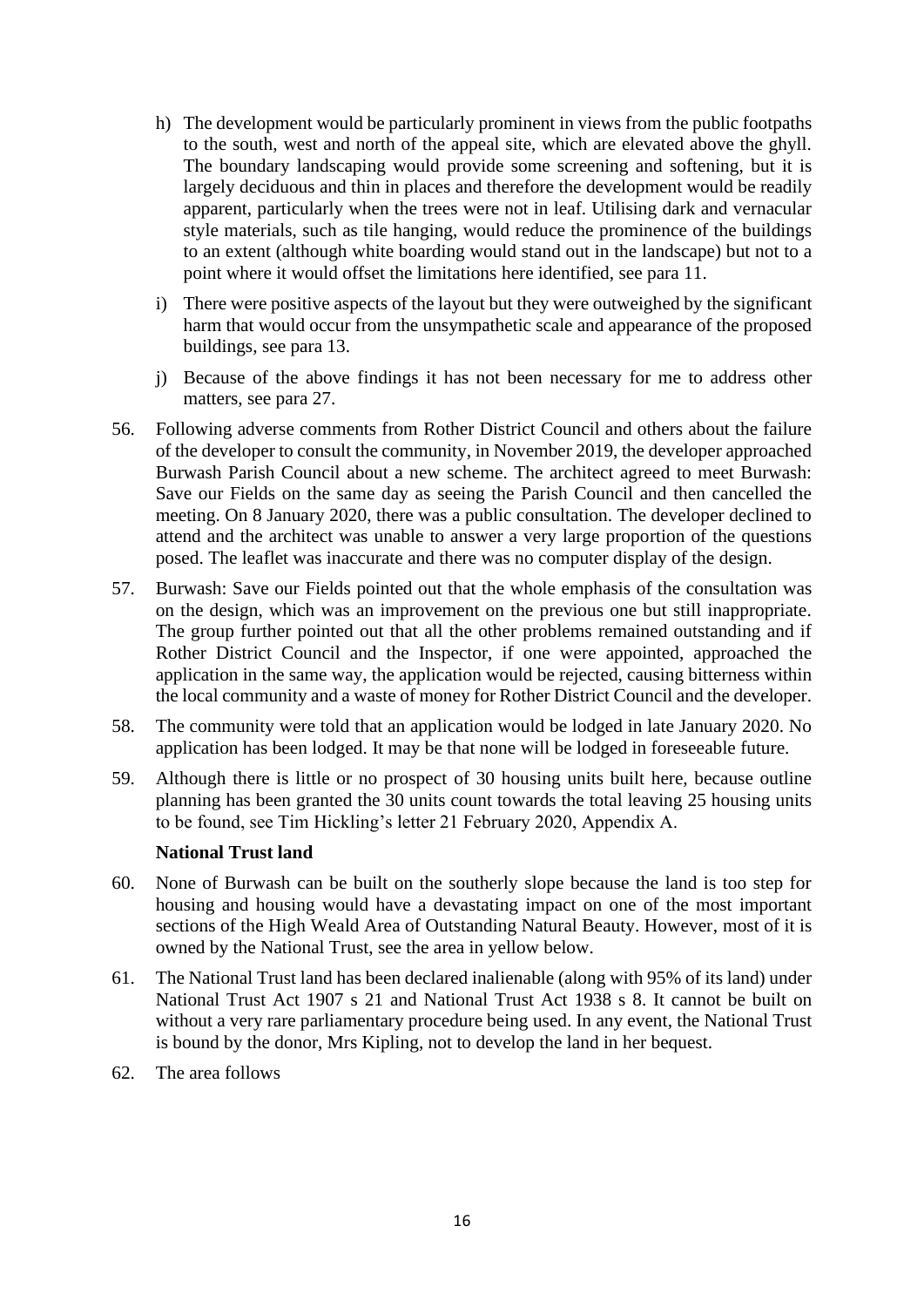- h) The development would be particularly prominent in views from the public footpaths to the south, west and north of the appeal site, which are elevated above the ghyll. The boundary landscaping would provide some screening and softening, but it is largely deciduous and thin in places and therefore the development would be readily apparent, particularly when the trees were not in leaf. Utilising dark and vernacular style materials, such as tile hanging, would reduce the prominence of the buildings to an extent (although white boarding would stand out in the landscape) but not to a point where it would offset the limitations here identified, see para 11.
- i) There were positive aspects of the layout but they were outweighed by the significant harm that would occur from the unsympathetic scale and appearance of the proposed buildings, see para 13.
- j) Because of the above findings it has not been necessary for me to address other matters, see para 27.
- 56. Following adverse comments from Rother District Council and others about the failure of the developer to consult the community, in November 2019, the developer approached Burwash Parish Council about a new scheme. The architect agreed to meet Burwash: Save our Fields on the same day as seeing the Parish Council and then cancelled the meeting. On 8 January 2020, there was a public consultation. The developer declined to attend and the architect was unable to answer a very large proportion of the questions posed. The leaflet was inaccurate and there was no computer display of the design.
- 57. Burwash: Save our Fields pointed out that the whole emphasis of the consultation was on the design, which was an improvement on the previous one but still inappropriate. The group further pointed out that all the other problems remained outstanding and if Rother District Council and the Inspector, if one were appointed, approached the application in the same way, the application would be rejected, causing bitterness within the local community and a waste of money for Rother District Council and the developer.
- 58. The community were told that an application would be lodged in late January 2020. No application has been lodged. It may be that none will be lodged in foreseeable future.
- 59. Although there is little or no prospect of 30 housing units built here, because outline planning has been granted the 30 units count towards the total leaving 25 housing units to be found, see Tim Hickling's letter 21 February 2020, Appendix A.

## **National Trust land**

- 60. None of Burwash can be built on the southerly slope because the land is too step for housing and housing would have a devastating impact on one of the most important sections of the High Weald Area of Outstanding Natural Beauty. However, most of it is owned by the National Trust, see the area in yellow below.
- 61. The National Trust land has been declared inalienable (along with 95% of its land) under National Trust Act 1907 s 21 and National Trust Act 1938 s 8. It cannot be built on without a very rare parliamentary procedure being used. In any event, the National Trust is bound by the donor, Mrs Kipling, not to develop the land in her bequest.
- 62. The area follows